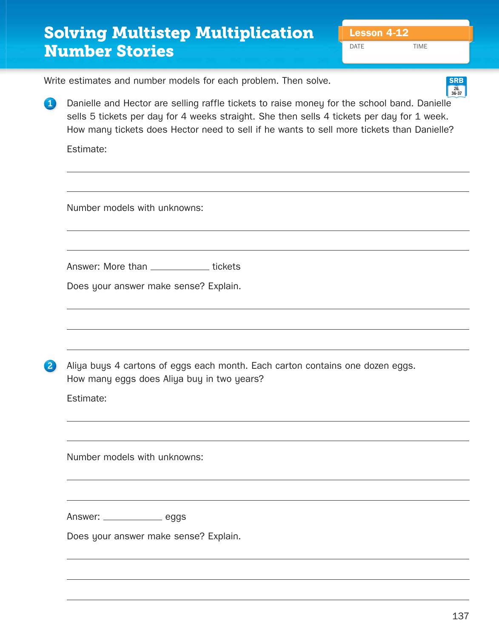## **Solving Multistep Multiplication | Lesson 4-12 Number Stories**

DATE TIME

**SRB**

Write estimates and number models for each problem. Then solve.

**1** Danielle and Hector are selling raffle tickets to raise money for the school band. Danielle sells 5 tickets per day for 4 weeks straight. She then sells 4 tickets per day for 1 week. How many tickets does Hector need to sell if he wants to sell more tickets than Danielle? **26, 36-37**

Estimate:

Number models with unknowns:

Answer: More than \_\_\_\_\_\_\_\_\_\_\_\_\_ tickets

Does your answer make sense? Explain.

2 Aliya buys 4 cartons of eggs each month. Each carton contains one dozen eggs. How many eggs does Aliya buy in two years?

Estimate:

Number models with unknowns:

Answer: \_\_\_\_\_\_\_\_\_\_\_\_\_\_ eggs

Does your answer make sense? Explain.